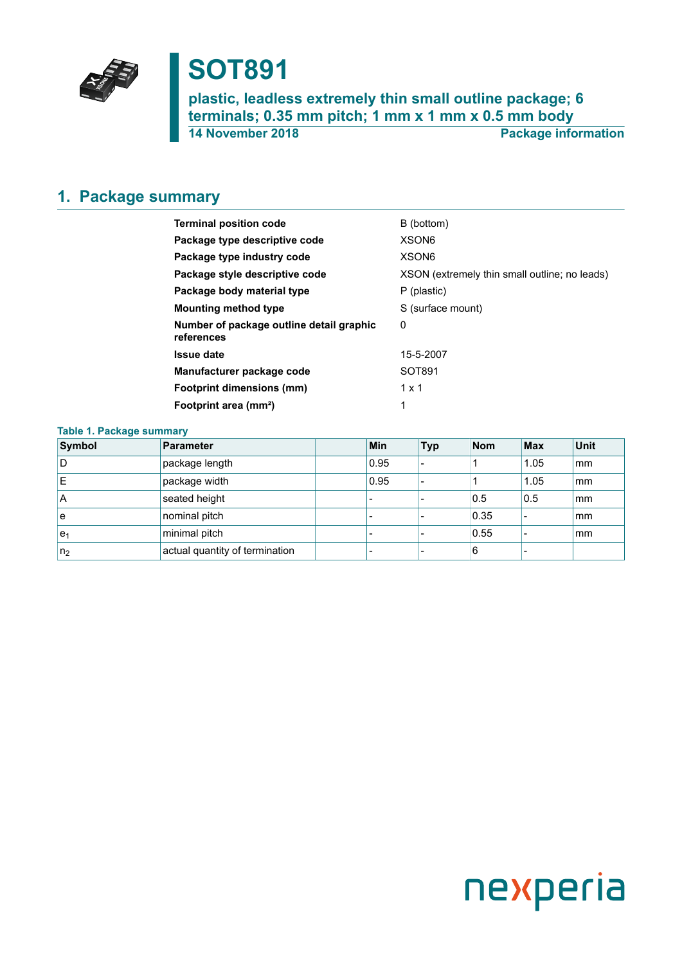

# **SOT891**

**plastic, leadless extremely thin small outline package; 6 terminals; 0.35 mm pitch; 1 mm x 1 mm x 0.5 mm body 14 November 2018 Package information**

### <span id="page-0-0"></span>**1. Package summary**

| <b>Terminal position code</b>                          | B (bottom)                                    |
|--------------------------------------------------------|-----------------------------------------------|
| Package type descriptive code                          | XSON6                                         |
| Package type industry code                             | XSON6                                         |
| Package style descriptive code                         | XSON (extremely thin small outline; no leads) |
| Package body material type                             | P (plastic)                                   |
| <b>Mounting method type</b>                            | S (surface mount)                             |
| Number of package outline detail graphic<br>references | 0                                             |
| <b>Issue date</b>                                      | 15-5-2007                                     |
| Manufacturer package code                              | SOT891                                        |
| <b>Footprint dimensions (mm)</b>                       | $1 \times 1$                                  |
| Footprint area (mm <sup>2</sup> )                      | 1                                             |

### **Table 1. Package summary**

| Symbol         | Parameter                      | Min  | <b>Typ</b> | <b>Nom</b> | <b>Max</b> | <b>Unit</b> |
|----------------|--------------------------------|------|------------|------------|------------|-------------|
| D              | package length                 | 0.95 |            |            | 1.05       | mm          |
| ΙE             | package width                  | 0.95 |            |            | 1.05       | mm          |
| ΙA             | seated height                  |      |            | 0.5        | 0.5        | mm          |
| le             | nominal pitch                  |      |            | 0.35       |            | mm          |
| $e_1$          | minimal pitch                  |      |            | 0.55       |            | mm          |
| n <sub>2</sub> | actual quantity of termination |      |            | 6          |            |             |

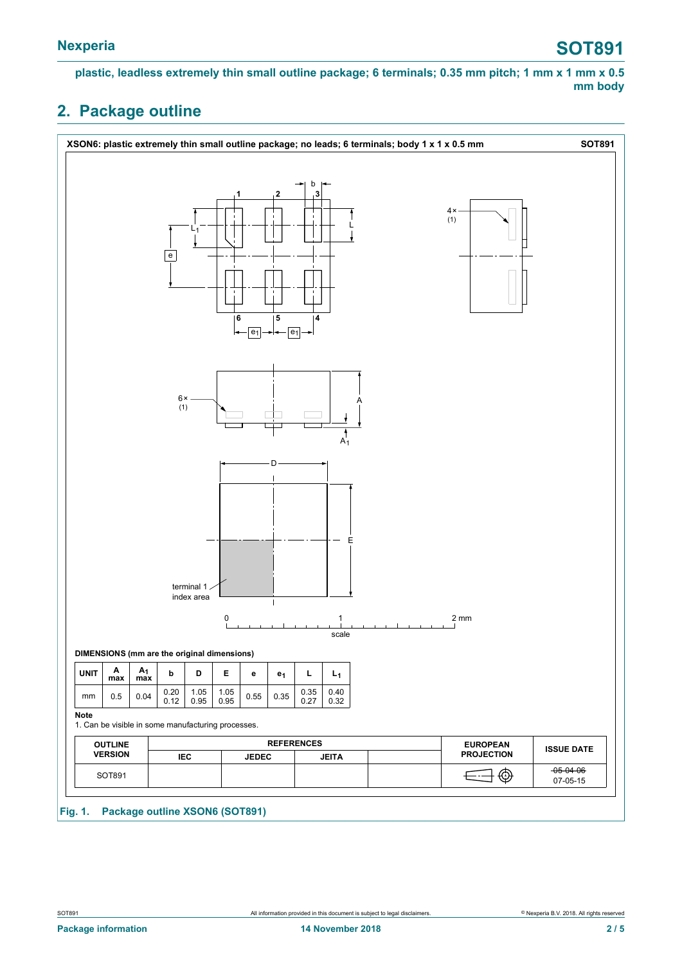### <span id="page-1-0"></span>**2. Package outline**

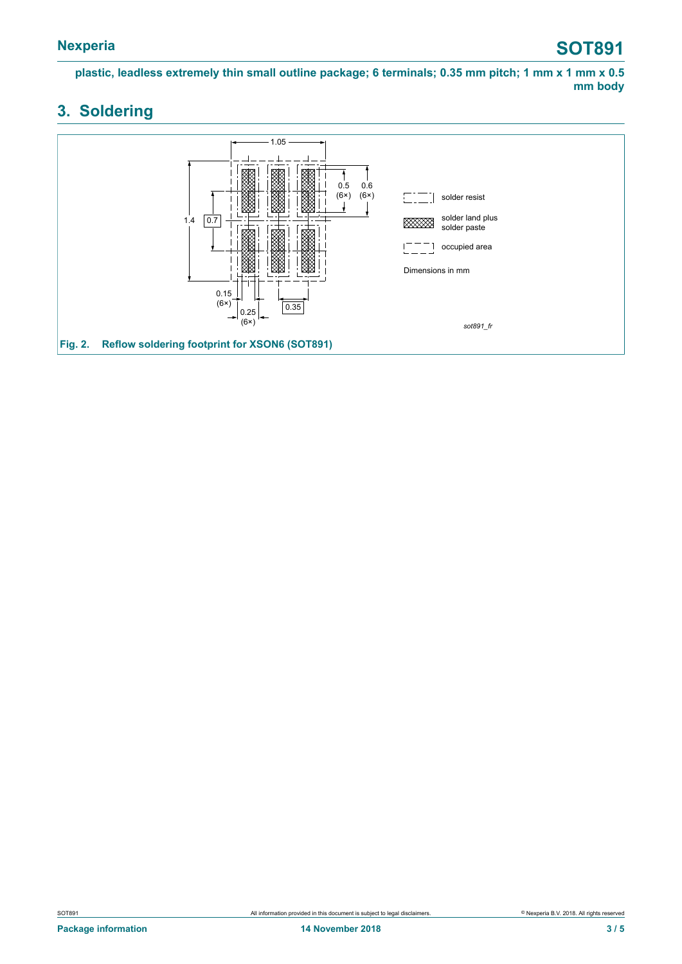### <span id="page-2-0"></span>**3. Soldering**

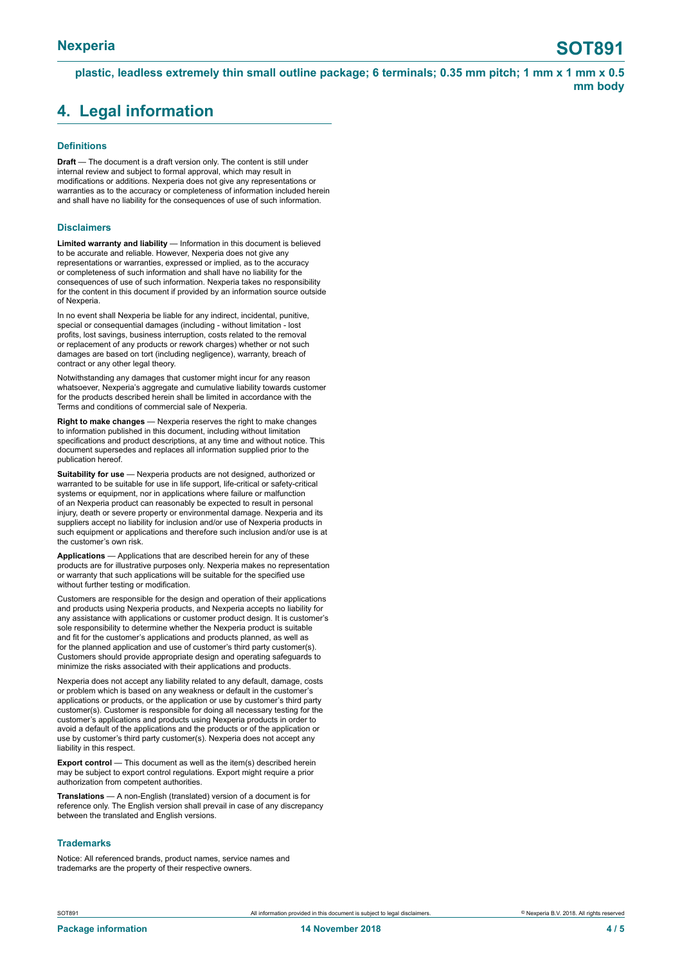# <span id="page-3-0"></span>**4. Legal information**

#### **Definitions**

**Draft** — The document is a draft version only. The content is still under internal review and subject to formal approval, which may result in modifications or additions. Nexperia does not give any representations or warranties as to the accuracy or completeness of information included herein and shall have no liability for the consequences of use of such information.

#### **Disclaimers**

**Limited warranty and liability** — Information in this document is believed to be accurate and reliable. However, Nexperia does not give any representations or warranties, expressed or implied, as to the accuracy or completeness of such information and shall have no liability for the consequences of use of such information. Nexperia takes no responsibility for the content in this document if provided by an information source outside of Nexperia.

In no event shall Nexperia be liable for any indirect, incidental, punitive, special or consequential damages (including - without limitation - lost profits, lost savings, business interruption, costs related to the removal or replacement of any products or rework charges) whether or not such damages are based on tort (including negligence), warranty, breach of contract or any other legal theory.

Notwithstanding any damages that customer might incur for any reason whatsoever, Nexperia's aggregate and cumulative liability towards customer for the products described herein shall be limited in accordance with the Terms and conditions of commercial sale of Nexperia.

**Right to make changes** — Nexperia reserves the right to make changes to information published in this document, including without limitation specifications and product descriptions, at any time and without notice. This document supersedes and replaces all information supplied prior to the publication hereof.

**Suitability for use** — Nexperia products are not designed, authorized or warranted to be suitable for use in life support, life-critical or safety-critical systems or equipment, nor in applications where failure or malfunction of an Nexperia product can reasonably be expected to result in personal injury, death or severe property or environmental damage. Nexperia and its suppliers accept no liability for inclusion and/or use of Nexperia products in such equipment or applications and therefore such inclusion and/or use is at the customer's own risk.

**Applications** — Applications that are described herein for any of these products are for illustrative purposes only. Nexperia makes no representation or warranty that such applications will be suitable for the specified use without further testing or modification.

Customers are responsible for the design and operation of their applications and products using Nexperia products, and Nexperia accepts no liability for any assistance with applications or customer product design. It is customer's sole responsibility to determine whether the Nexperia product is suitable and fit for the customer's applications and products planned, as well as for the planned application and use of customer's third party customer(s). Customers should provide appropriate design and operating safeguards to minimize the risks associated with their applications and products.

Nexperia does not accept any liability related to any default, damage, costs or problem which is based on any weakness or default in the customer's applications or products, or the application or use by customer's third party customer(s). Customer is responsible for doing all necessary testing for the customer's applications and products using Nexperia products in order to avoid a default of the applications and the products or of the application or use by customer's third party customer(s). Nexperia does not accept any liability in this respect.

**Export control** — This document as well as the item(s) described herein may be subject to export control regulations. Export might require a prior authorization from competent authorities.

**Translations** — A non-English (translated) version of a document is for reference only. The English version shall prevail in case of any discrepancy between the translated and English versions.

#### **Trademarks**

Notice: All referenced brands, product names, service names and trademarks are the property of their respective owners.